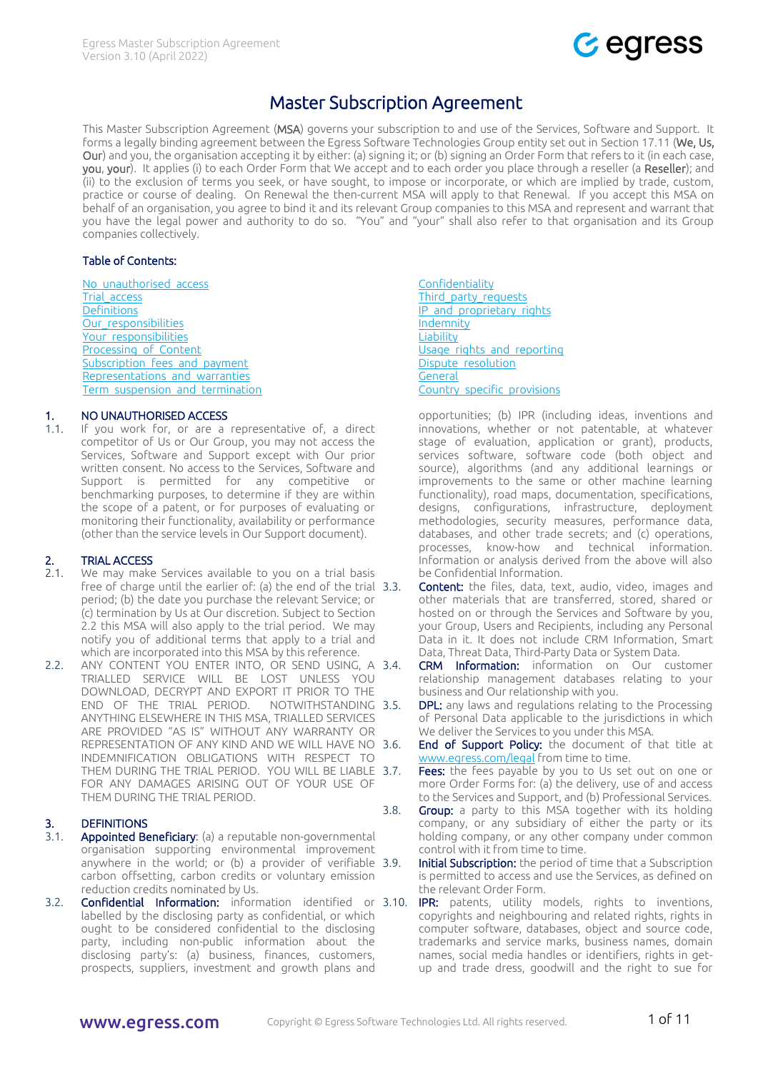

# Master Subscription Agreement

<span id="page-0-4"></span>This Master Subscription Agreement (MSA) governs your subscription to and use of the Services, Software and Support. It forms a legally binding agreement between the Egress Software Technologies Group entity set out in Section [17.11](#page-8-0) (We, Us, Our) and you, the organisation accepting it by either: (a) signing it; or (b) signing an Order Form that refers to it (in each case, you, your). It applies (i) to each Order Form that We accept and to each order you place through a reseller (a Reseller); and (ii) to the exclusion of terms you seek, or have sought, to impose or incorporate, or which are implied by trade, custom, practice or course of dealing. On Renewal the then-current MSA will apply to that Renewal. If you accept this MSA on behalf of an organisation, you agree to bind it and its relevant Group companies to this MSA and represent and warrant that you have the legal power and authority to do so. "You" and "your" shall also refer to that organisation and its Group companies collectively.

#### Table of Contents:

<span id="page-0-2"></span>No\_unauthorised\_access Trial access **[Definitions](#page-0-1)** Our responsibilities Your responsibilities [Processing\\_of\\_Content](#page-0-2) Subscription fees and payment Representations and warranties Term suspension and termination

## 1. NO UNAUTHORISED ACCESS

1.1. If you work for, or are a representative of, a direct competitor of Us or Our Group, you may not access the Services, Software and Support except with Our prior written consent. No access to the Services, Software and Support is permitted for any competitive or benchmarking purposes, to determine if they are within the scope of a patent, or for purposes of evaluating or monitoring their functionality, availability or performance (other than the service levels in Our Support document).

# <span id="page-0-0"></span>2. TRIAL ACCESS

- 2.1. We may make Services available to you on a trial basis free of charge until the earlier of: (a) the end of the trial 3.3. period; (b) the date you purchase the relevant Service; or (c) termination by Us at Our discretion. Subject to Section [2.2](#page-0-3) this MSA will also apply to the trial period. We may notify you of additional terms that apply to a trial and which are incorporated into this MSA by this reference.
- <span id="page-0-3"></span>2.2. ANY CONTENT YOU ENTER INTO, OR SEND USING, A 3.4. TRIALLED SERVICE WILL BE LOST UNLESS YOU DOWNLOAD, DECRYPT AND EXPORT IT PRIOR TO THE END OF THE TRIAL PERIOD. NOTWITHSTANDING 3.5. ANYTHING ELSEWHERE IN THIS MSA, TRIALLED SERVICES ARE PROVIDED "AS IS" WITHOUT ANY WARRANTY OR REPRESENTATION OF ANY KIND AND WE WILL HAVE NO INDEMNIFICATION OBLIGATIONS WITH RESPECT TO THEM DURING THE TRIAL PERIOD. YOU WILL BE LIABLE 3.7. FOR ANY DAMAGES ARISING OUT OF YOUR USE OF THEM DURING THE TRIAL PERIOD.

## <span id="page-0-1"></span>3. DEFINITIONS

- 3.1. Appointed Beneficiary: (a) a reputable non-governmental organisation supporting environmental improvement anywhere in the world; or (b) a provider of verifiable 3.9. carbon offsetting, carbon credits or voluntary emission reduction credits nominated by Us.
- 3.2. **Confidential Information:** information identified or 3.10. labelled by the disclosing party as confidential, or which ought to be considered confidential to the disclosing party, including non-public information about the disclosing party's: (a) business, finances, customers, prospects, suppliers, investment and growth plans and

**[Confidentiality](#page-5-0)** [Third\\_party\\_requests](#page-5-1) [IP\\_and\\_proprietary\\_rights](#page-5-2) [Indemnity](#page-6-0) **[Liability](#page-6-1)** [Usage\\_rights\\_and\\_reporting](#page-7-0) [Dispute\\_resolution](#page-7-1) **[General](#page-7-2)** [Country\\_specific\\_provisions](#page-9-0)

opportunities; (b) IPR (including ideas, inventions and innovations, whether or not patentable, at whatever stage of evaluation, application or grant), products, services software, software code (both object and source), algorithms (and any additional learnings or improvements to the same or other machine learning functionality), road maps, documentation, specifications, designs, configurations, infrastructure, deployment methodologies, security measures, performance data, databases, and other trade secrets; and (c) operations, processes, know-how and technical information. Information or analysis derived from the above will also be Confidential Information.

- Content: the files, data, text, audio, video, images and other materials that are transferred, stored, shared or hosted on or through the Services and Software by you, your Group, Users and Recipients, including any Personal Data in it. It does not include CRM Information, Smart Data, Threat Data, Third-Party Data or System Data.
- CRM Information: information on Our customer relationship management databases relating to your business and Our relationship with you.
- **DPL:** any laws and regulations relating to the Processing of Personal Data applicable to the jurisdictions in which We deliver the Services to you under this MSA.
- End of Support Policy: the document of that title at [www.egress.com/legal](http://www.egress.com/legal) from time to time.
- Fees: the fees payable by you to Us set out on one or more Order Forms for: (a) the delivery, use of and access to the Services and Support, and (b) Professional Services.
- 3.8. Group: a party to this MSA together with its holding company, or any subsidiary of either the party or its holding company, or any other company under common control with it from time to time.
	- **Initial Subscription:** the period of time that a Subscription is permitted to access and use the Services, as defined on the relevant Order Form.
	- **IPR:** patents, utility models, rights to inventions, copyrights and neighbouring and related rights, rights in computer software, databases, object and source code, trademarks and service marks, business names, domain names, social media handles or identifiers, rights in getup and trade dress, goodwill and the right to sue for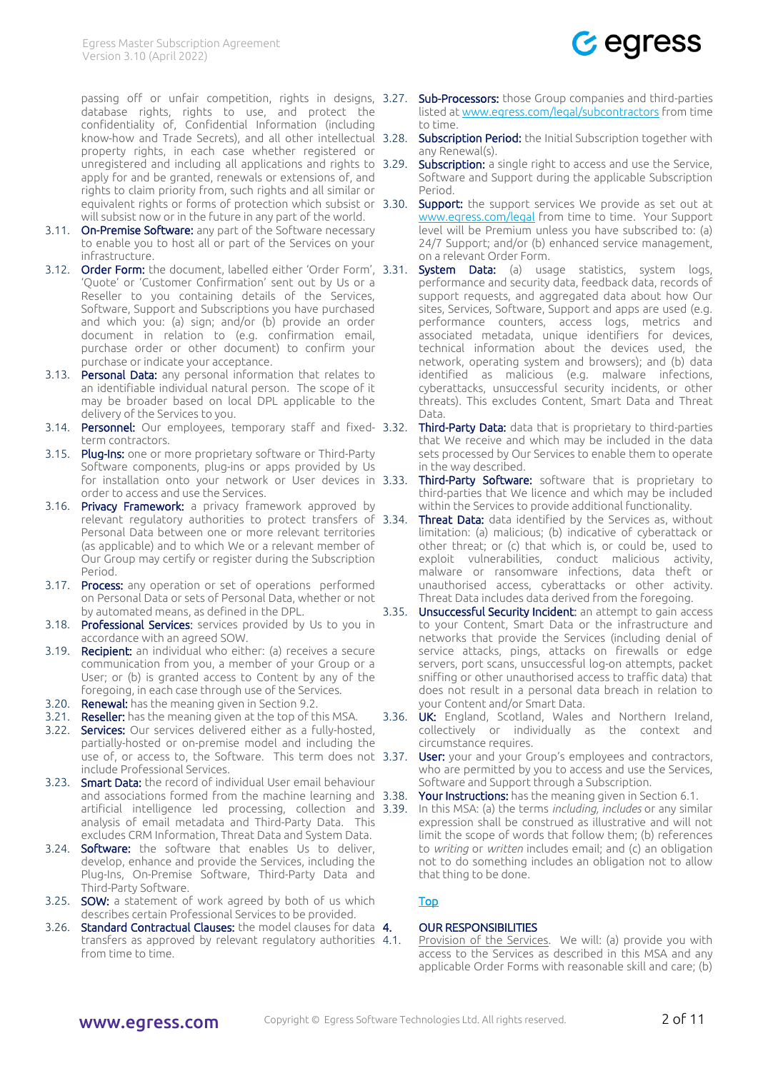

database rights, rights to use, and protect the confidentiality of, Confidential Information (including know-how and Trade Secrets), and all other intellectual property rights, in each case whether registered or unregistered and including all applications and rights to 3.29. apply for and be granted, renewals or extensions of, and rights to claim priority from, such rights and all similar or equivalent rights or forms of protection which subsist or 3.30. will subsist now or in the future in any part of the world.

- 3.11. On-Premise Software: any part of the Software necessary to enable you to host all or part of the Services on your infrastructure.
- 3.12. Order Form: the document, labelled either 'Order Form', 3.31. 'Quote' or 'Customer Confirmation' sent out by Us or a Reseller to you containing details of the Services, Software, Support and Subscriptions you have purchased and which you: (a) sign; and/or (b) provide an order document in relation to (e.g. confirmation email, purchase order or other document) to confirm your purchase or indicate your acceptance.
- 3.13. Personal Data: any personal information that relates to an identifiable individual natural person. The scope of it may be broader based on local DPL applicable to the delivery of the Services to you.
- 3.14. Personnel: Our employees, temporary staff and fixed- 3.32. term contractors.
- 3.15. Plug-Ins: one or more proprietary software or Third-Party Software components, plug-ins or apps provided by Us for installation onto your network or User devices in 3.33. order to access and use the Services.
- 3.16. Privacy Framework: a privacy framework approved by relevant regulatory authorities to protect transfers of 3.34. Personal Data between one or more relevant territories (as applicable) and to which We or a relevant member of Our Group may certify or register during the Subscription Period.
- 3.17. Process: any operation or set of operations performed on Personal Data or sets of Personal Data, whether or not by automated means, as defined in the DPL.
- 3.18. Professional Services: services provided by Us to you in accordance with an agreed SOW.
- 3.19. Recipient: an individual who either: (a) receives a secure communication from you, a member of your Group or a User; or (b) is granted access to Content by any of the foregoing, in each case through use of the Services.
- 3.20. Renewal: has the meaning given in Sectio[n 9.2.](#page-4-2)
- 3.21. Reseller: has the meaning given at the top of this MSA.
- 3.22. Services: Our services delivered either as a fully-hosted, partially-hosted or on-premise model and including the use of, or access to, the Software. This term does not 3.37. include Professional Services.
- 3.23. **Smart Data:** the record of individual User email behaviour and associations formed from the machine learning and 3.38. artificial intelligence led processing, collection and 3.39. analysis of email metadata and Third-Party Data. This excludes CRM Information, Threat Data and System Data.
- 3.24. Software: the software that enables Us to deliver, develop, enhance and provide the Services, including the Plug-Ins, On-Premise Software, Third-Party Data and Third-Party Software.
- 3.25. **SOW:** a statement of work agreed by both of us which describes certain Professional Services to be provided.
- 3.26. Standard Contractual Clauses: the model clauses for data 4. transfers as approved by relevant regulatory authorities 4.1. from time to time.
- passing off or unfair competition, rights in designs, 3.27. **Sub-Processors:** those Group companies and third-parties listed a[t www.egress.com/legal/subcontractors](https://www.egress.com/legal/subcontractors) from time to time.
	- Subscription Period: the Initial Subscription together with any Renewal(s).
	- **Subscription:** a single right to access and use the Service, Software and Support during the applicable Subscription Period.
	- **Support:** the support services We provide as set out at [www.egress.com/legal](http://www.egress.com/legal) from time to time. Your Support level will be Premium unless you have subscribed to: (a) 24/7 Support; and/or (b) enhanced service management, on a relevant Order Form.
	- System Data: (a) usage statistics, system logs, performance and security data, feedback data, records of support requests, and aggregated data about how Our sites, Services, Software, Support and apps are used (e.g. performance counters, access logs, metrics and associated metadata, unique identifiers for devices, technical information about the devices used, the network, operating system and browsers); and (b) data identified as malicious (e.g. malware infections, cyberattacks, unsuccessful security incidents, or other threats). This excludes Content, Smart Data and Threat Data.
	- **Third-Party Data:** data that is proprietary to third-parties that We receive and which may be included in the data sets processed by Our Services to enable them to operate in the way described.
	- Third-Party Software: software that is proprietary to third-parties that We licence and which may be included within the Services to provide additional functionality.
	- Threat Data: data identified by the Services as, without limitation: (a) malicious; (b) indicative of cyberattack or other threat; or (c) that which is, or could be, used to exploit vulnerabilities, conduct malicious activity, malware or ransomware infections, data theft or unauthorised access, cyberattacks or other activity. Threat Data includes data derived from the foregoing.
	- 3.35. Unsuccessful Security Incident: an attempt to gain access to your Content, Smart Data or the infrastructure and networks that provide the Services (including denial of service attacks, pings, attacks on firewalls or edge servers, port scans, unsuccessful log-on attempts, packet sniffing or other unauthorised access to traffic data) that does not result in a personal data breach in relation to your Content and/or Smart Data.
	- 3.36. UK: England, Scotland, Wales and Northern Ireland, collectively or individually as the context and circumstance requires.
		- User: your and your Group's employees and contractors, who are permitted by you to access and use the Services, Software and Support through a Subscription.
		- Your Instructions: has the meaning given in Section 6.1.
		- 3.39. In this MSA: (a) the terms *including, includes* or any similar expression shall be construed as illustrative and will not limit the scope of words that follow them; (b) references to *writing* or *written* includes email; and (c) an obligation not to do something includes an obligation not to allow that thing to be done.

# [Top](#page-0-4)

## <span id="page-1-0"></span>**OUR RESPONSIBILITIES**

Provision of the Services. We will: (a) provide you with access to the Services as described in this MSA and any applicable Order Forms with reasonable skill and care; (b)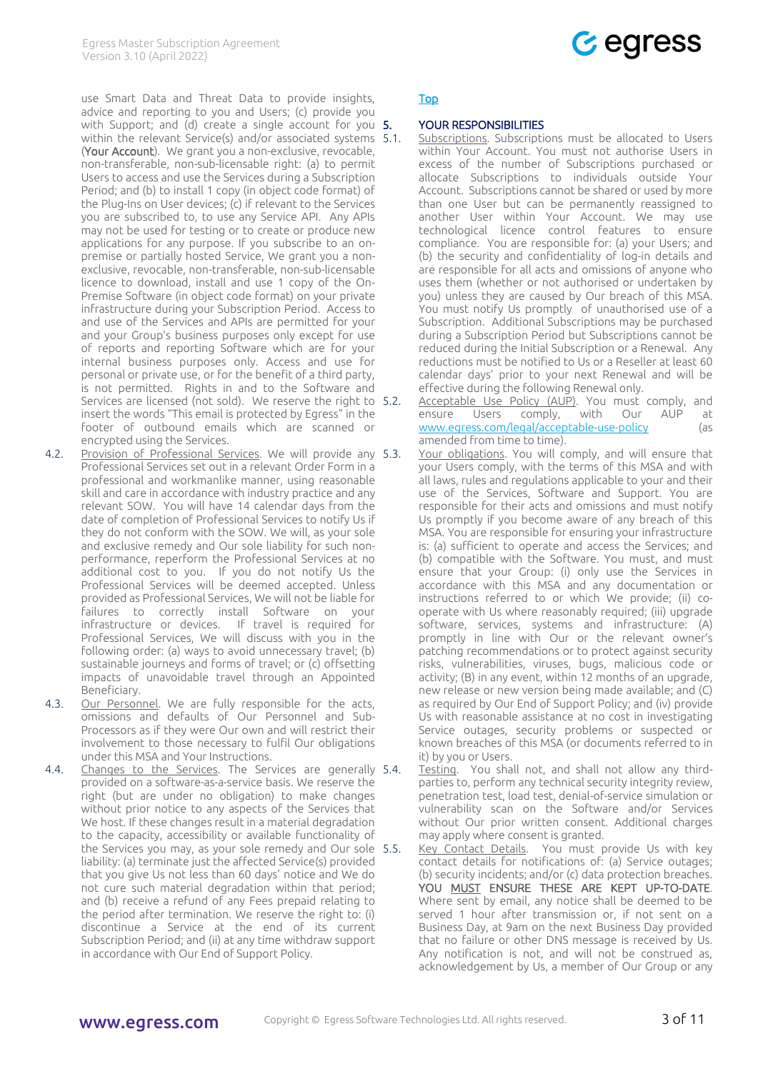use Smart Data and Threat Data to provide insights, advice and reporting to you and Users; (c) provide you with Support; and (d) create a single account for you  $5.$ within the relevant Service(s) and/or associated systems 5.1. (Your Account). We grant you a non-exclusive, revocable, non-transferable, non-sub-licensable right: (a) to permit Users to access and use the Services during a Subscription Period; and (b) to install 1 copy (in object code format) of the Plug-Ins on User devices; (c) if relevant to the Services you are subscribed to, to use any Service API. Any APIs may not be used for testing or to create or produce new applications for any purpose. If you subscribe to an onpremise or partially hosted Service, We grant you a nonexclusive, revocable, non-transferable, non-sub-licensable licence to download, install and use 1 copy of the On-Premise Software (in object code format) on your private infrastructure during your Subscription Period. Access to and use of the Services and APIs are permitted for your and your Group's business purposes only except for use of reports and reporting Software which are for your internal business purposes only. Access and use for personal or private use, or for the benefit of a third party, is not permitted. Rights in and to the Software and Services are licensed (not sold). We reserve the right to 5.2. insert the words "This email is protected by Egress" in the footer of outbound emails which are scanned or encrypted using the Services.

- <span id="page-2-2"></span>4.2. Provision of Professional Services. We will provide any 5.3. Professional Services set out in a relevant Order Form in a professional and workmanlike manner, using reasonable skill and care in accordance with industry practice and any relevant SOW. You will have 14 calendar days from the date of completion of Professional Services to notify Us if they do not conform with the SOW. We will, as your sole and exclusive remedy and Our sole liability for such nonperformance, reperform the Professional Services at no additional cost to you. If you do not notify Us the Professional Services will be deemed accepted. Unless provided as Professional Services, We will not be liable for failures to correctly install Software on your infrastructure or devices. If travel is required for Professional Services, We will discuss with you in the following order: (a) ways to avoid unnecessary travel; (b) sustainable journeys and forms of travel; or (c) offsetting impacts of unavoidable travel through an Appointed Beneficiary.
- 4.3. Our Personnel. We are fully responsible for the acts, omissions and defaults of Our Personnel and Sub-Processors as if they were Our own and will restrict their involvement to those necessary to fulfil Our obligations under this MSA and Your Instructions.
- <span id="page-2-3"></span>4.4. Changes to the Services. The Services are generally 5.4. provided on a software-as-a-service basis. We reserve the right (but are under no obligation) to make changes without prior notice to any aspects of the Services that We host. If these changes result in a material degradation to the capacity, accessibility or available functionality of the Services you may, as your sole remedy and Our sole 5.5. liability: (a) terminate just the affected Service(s) provided that you give Us not less than 60 days' notice and We do not cure such material degradation within that period; and (b) receive a refund of any Fees prepaid relating to the period after termination. We reserve the right to: (i) discontinue a Service at the end of its current Subscription Period; and (ii) at any time withdraw support in accordance with Our End of Support Policy.



## [Top](#page-0-4)

## <span id="page-2-0"></span>YOUR RESPONSIBILITIES

- Subscriptions. Subscriptions must be allocated to Users within Your Account. You must not authorise Users in excess of the number of Subscriptions purchased or allocate Subscriptions to individuals outside Your Account. Subscriptions cannot be shared or used by more than one User but can be permanently reassigned to another User within Your Account. We may use technological licence control features to ensure compliance. You are responsible for: (a) your Users; and (b) the security and confidentiality of log-in details and are responsible for all acts and omissions of anyone who uses them (whether or not authorised or undertaken by you) unless they are caused by Our breach of this MSA. You must notify Us promptly of unauthorised use of a Subscription. Additional Subscriptions may be purchased during a Subscription Period but Subscriptions cannot be reduced during the Initial Subscription or a Renewal. Any reductions must be notified to Us or a Reseller at least 60 calendar days' prior to your next Renewal and will be effective during the following Renewal only.
- <span id="page-2-4"></span>Acceptable Use Policy (AUP). You must comply, and ensure Users comply, with Our AUP at [www.egress.com/legal/acceptable-use-policy](https://www.egress.com/legal/acceptable-use-policy) (as amended from time to time).
	- Your obligations. You will comply, and will ensure that your Users comply, with the terms of this MSA and with all laws, rules and regulations applicable to your and their use of the Services, Software and Support. You are responsible for their acts and omissions and must notify Us promptly if you become aware of any breach of this MSA. You are responsible for ensuring your infrastructure is: (a) sufficient to operate and access the Services; and (b) compatible with the Software. You must, and must ensure that your Group: (i) only use the Services in accordance with this MSA and any documentation or instructions referred to or which We provide; (ii) cooperate with Us where reasonably required; (iii) upgrade software, services, systems and infrastructure: (A) promptly in line with Our or the relevant owner's patching recommendations or to protect against security risks, vulnerabilities, viruses, bugs, malicious code or activity; (B) in any event, within 12 months of an upgrade, new release or new version being made available; and (C) as required by Our End of Support Policy; and (iv) provide Us with reasonable assistance at no cost in investigating Service outages, security problems or suspected or known breaches of this MSA (or documents referred to in it) by you or Users.
- Testing. You shall not, and shall not allow any thirdparties to, perform any technical security integrity review, penetration test, load test, denial-of-service simulation or vulnerability scan on the Software and/or Services without Our prior written consent. Additional charges may apply where consent is granted.
- <span id="page-2-1"></span>Key Contact Details. You must provide Us with key contact details for notifications of: (a) Service outages; (b) security incidents; and/or (c) data protection breaches. YOU MUST ENSURE THESE ARE KEPT UP-TO-DATE. Where sent by email, any notice shall be deemed to be served 1 hour after transmission or, if not sent on a Business Day, at 9am on the next Business Day provided that no failure or other DNS message is received by Us. Any notification is not, and will not be construed as, acknowledgement by Us, a member of Our Group or any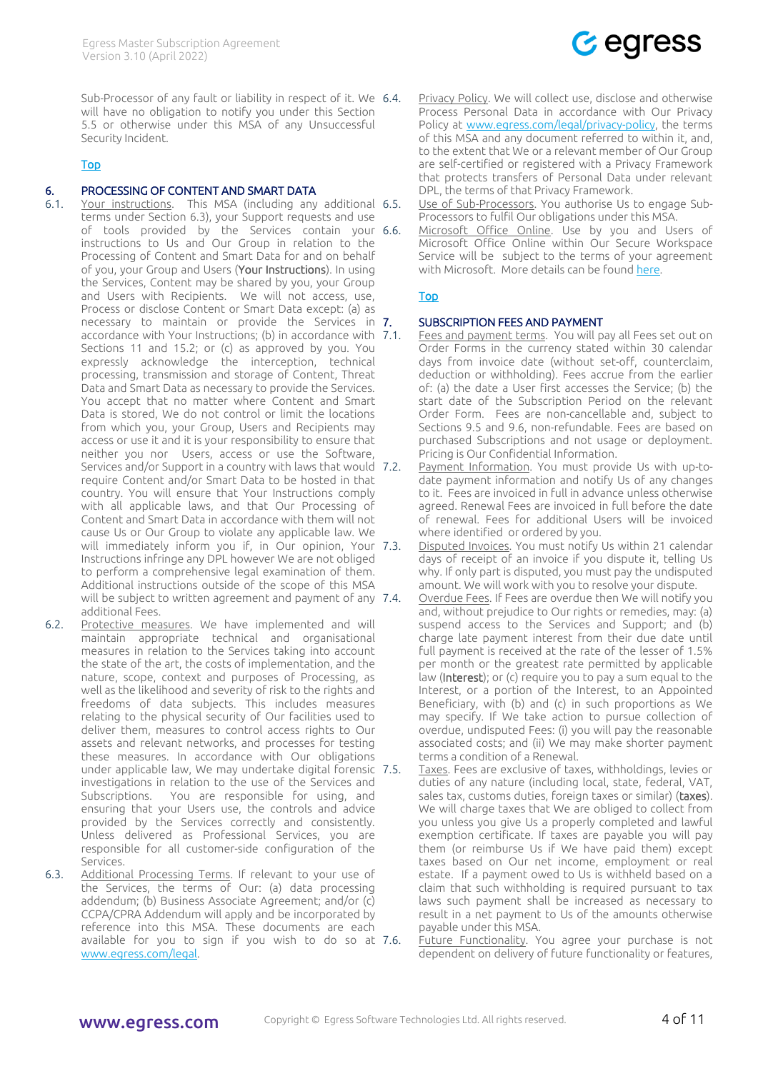Sub-Processor of any fault or liability in respect of it. We 6.4. will have no obligation to notify you under this Section [5.5](#page-2-1) or otherwise under this MSA of any Unsuccessful Security Incident.

## [Top](#page-0-4)

## 6. PROCESSING OF CONTENT AND SMART DATA

- <span id="page-3-1"></span>6.1. Your instructions. This MSA (including any additional terms under Section [6.3\)](#page-3-2), your Support requests and use of tools provided by the Services contain your 6.6. instructions to Us and Our Group in relation to the Processing of Content and Smart Data for and on behalf of you, your Group and Users (Your Instructions). In using the Services, Content may be shared by you, your Group and Users with Recipients. We will not access, use, Process or disclose Content or Smart Data except: (a) as necessary to maintain or provide the Services in 7. accordance with Your Instructions; (b) in accordance with 7.1. Sections [11](#page-5-1) and [15.2;](#page-7-3) or (c) as approved by you. You expressly acknowledge the interception, technical processing, transmission and storage of Content, Threat Data and Smart Data as necessary to provide the Services. You accept that no matter where Content and Smart Data is stored, We do not control or limit the locations from which you, your Group, Users and Recipients may access or use it and it is your responsibility to ensure that neither you nor Users, access or use the Software, Services and/or Support in a country with laws that would 7.2. require Content and/or Smart Data to be hosted in that country. You will ensure that Your Instructions comply with all applicable laws, and that Our Processing of Content and Smart Data in accordance with them will not cause Us or Our Group to violate any applicable law. We will immediately inform you if, in Our opinion, Your 7.3. Instructions infringe any DPL however We are not obliged to perform a comprehensive legal examination of them. Additional instructions outside of the scope of this MSA will be subject to written agreement and payment of any 7.4. additional Fees.
- 6.2. Protective measures. We have implemented and will maintain appropriate technical and organisational measures in relation to the Services taking into account the state of the art, the costs of implementation, and the nature, scope, context and purposes of Processing, as well as the likelihood and severity of risk to the rights and freedoms of data subjects. This includes measures relating to the physical security of Our facilities used to deliver them, measures to control access rights to Our assets and relevant networks, and processes for testing these measures. In accordance with Our obligations under applicable law, We may undertake digital forensic investigations in relation to the use of the Services and Subscriptions. You are responsible for using, and ensuring that your Users use, the controls and advice provided by the Services correctly and consistently. Unless delivered as Professional Services, you are responsible for all customer-side configuration of the Services.
- <span id="page-3-2"></span>6.3. Additional Processing Terms. If relevant to your use of the Services, the terms of Our: (a) data processing addendum; (b) Business Associate Agreement; and/or (c) CCPA/CPRA Addendum will apply and be incorporated by reference into this MSA. These documents are each available for you to sign if you wish to do so at 7.6. [www.egress.com/legal.](https://www.egress.com/legal)

Privacy Policy. We will collect use, disclose and otherwise Process Personal Data in accordance with Our Privacy Policy at [www.egress.com/legal/privacy-policy,](https://www.egress.com/legal/privacy-policy) the terms of this MSA and any document referred to within it, and, to the extent that We or a relevant member of Our Group are self-certified or registered with a Privacy Framework that protects transfers of Personal Data under relevant DPL, the terms of that Privacy Framework.

 $C$  egress

Use of Sub-Processors. You authorise Us to engage Sub-Processors to fulfil Our obligations under this MSA.

Microsoft Office Online. Use by you and Users of Microsoft Office Online within Our Secure Workspace Service will be subject to the terms of your agreement with Microsoft. More details can be found [here.](https://docs.microsoft.com/en-us/microsoft-365/cloud-storage-partner-program/faq/datacenter-routing)

## [Top](#page-0-4)

#### **SUBSCRIPTION FEES AND PAYMENT**

- <span id="page-3-4"></span><span id="page-3-0"></span>Fees and payment terms. You will pay all Fees set out on Order Forms in the currency stated within 30 calendar days from invoice date (without set-off, counterclaim, deduction or withholding). Fees accrue from the earlier of: (a) the date a User first accesses the Service; (b) the start date of the Subscription Period on the relevant Order Form. Fees are non-cancellable and, subject to Sections [9.5](#page-4-3) and [9.6,](#page-4-4) non-refundable. Fees are based on purchased Subscriptions and not usage or deployment. Pricing is Our Confidential Information.
- Payment Information. You must provide Us with up-todate payment information and notify Us of any changes to it. Fees are invoiced in full in advance unless otherwise agreed. Renewal Fees are invoiced in full before the date of renewal. Fees for additional Users will be invoiced where identified or ordered by you.
- Disputed Invoices. You must notify Us within 21 calendar days of receipt of an invoice if you dispute it, telling Us why. If only part is disputed, you must pay the undisputed amount. We will work with you to resolve your dispute.
- <span id="page-3-3"></span>Overdue Fees. If Fees are overdue then We will notify you and, without prejudice to Our rights or remedies, may: (a) suspend access to the Services and Support; and (b) charge late payment interest from their due date until full payment is received at the rate of the lesser of 1.5% per month or the greatest rate permitted by applicable law (Interest); or (c) require you to pay a sum equal to the Interest, or a portion of the Interest, to an Appointed Beneficiary, with (b) and (c) in such proportions as We may specify. If We take action to pursue collection of overdue, undisputed Fees: (i) you will pay the reasonable associated costs; and (ii) We may make shorter payment terms a condition of a Renewal.
- <span id="page-3-5"></span>Taxes. Fees are exclusive of taxes, withholdings, levies or duties of any nature (including local, state, federal, VAT, sales tax, customs duties, foreign taxes or similar) (taxes). We will charge taxes that We are obliged to collect from you unless you give Us a properly completed and lawful exemption certificate. If taxes are payable you will pay them (or reimburse Us if We have paid them) except taxes based on Our net income, employment or real estate. If a payment owed to Us is withheld based on a claim that such withholding is required pursuant to tax laws such payment shall be increased as necessary to result in a net payment to Us of the amounts otherwise payable under this MSA.

<span id="page-3-6"></span>Future Functionality. You agree your purchase is not dependent on delivery of future functionality or features,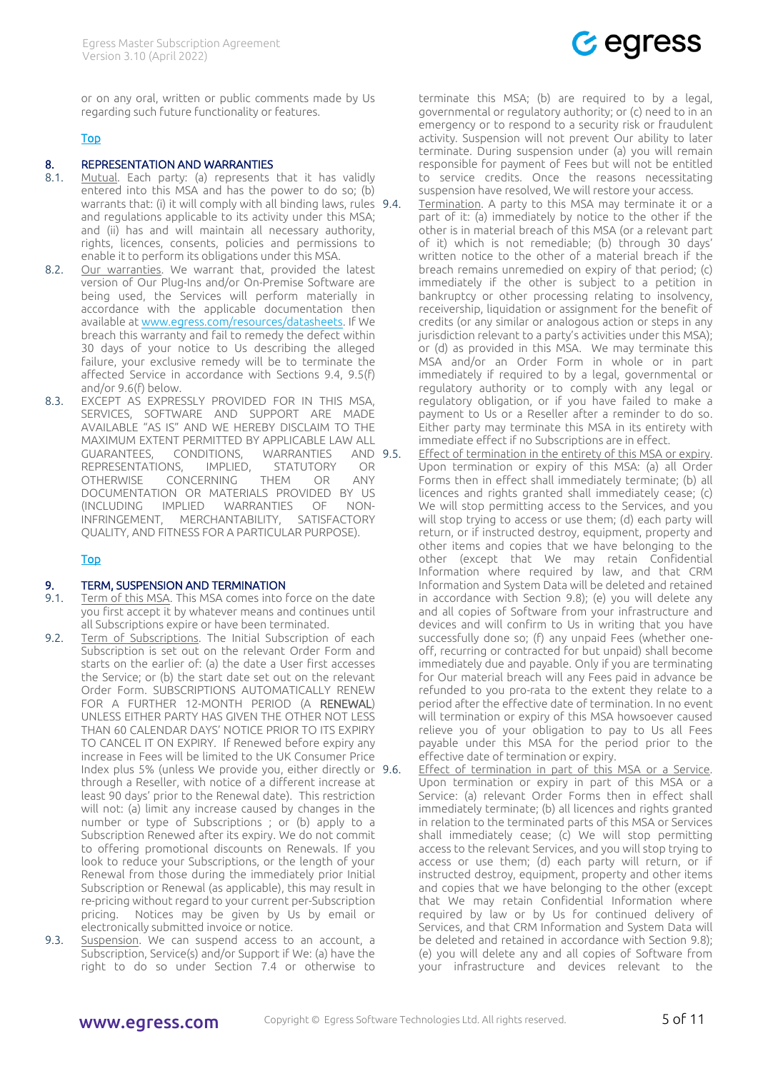

or on any oral, written or public comments made by Us regarding such future functionality or features.

## [Top](#page-0-4)

### <span id="page-4-0"></span>8. REPRESENTATION AND WARRANTIES

- 8.1. Mutual. Each party: (a) represents that it has validly entered into this MSA and has the power to do so; (b) warrants that: (i) it will comply with all binding laws, rules 9.4. and regulations applicable to its activity under this MSA; and (ii) has and will maintain all necessary authority, rights, licences, consents, policies and permissions to enable it to perform its obligations under this MSA.
- 8.2. Our warranties. We warrant that, provided the latest version of Our Plug-Ins and/or On-Premise Software are being used, the Services will perform materially in accordance with the applicable documentation then available a[t www.egress.com/resources/datasheets.](https://www.egress.com/resources/datasheets) If We breach this warranty and fail to remedy the defect within 30 days of your notice to Us describing the alleged failure, your exclusive remedy will be to terminate the affected Service in accordance with Sections [9.4,](#page-4-5) [9.5\(](#page-4-3)f) and/o[r 9.6\(](#page-4-4)f) below.
- 8.3. EXCEPT AS EXPRESSLY PROVIDED FOR IN THIS MSA, SERVICES, SOFTWARE AND SUPPORT ARE MADE AVAILABLE "AS IS" AND WE HEREBY DISCLAIM TO THE MAXIMUM EXTENT PERMITTED BY APPLICABLE LAW ALL GUARANTEES, CONDITIONS, WARRANTIES AND REPRESENTATIONS, IMPLIED, STATUTORY OR OTHERWISE CONCERNING THEM OR ANY DOCUMENTATION OR MATERIALS PROVIDED BY US (INCLUDING IMPLIED WARRANTIES OF NON-INFRINGEMENT, MERCHANTABILITY, SATISFACTORY QUALITY, AND FITNESS FOR A PARTICULAR PURPOSE).

## [Top](#page-0-4)

#### <span id="page-4-1"></span>9. TERM, SUSPENSION AND TERMINATION

- 9.1. Term of this MSA. This MSA comes into force on the date you first accept it by whatever means and continues until all Subscriptions expire or have been terminated.
- <span id="page-4-2"></span>9.2. Term of Subscriptions. The Initial Subscription of each Subscription is set out on the relevant Order Form and starts on the earlier of: (a) the date a User first accesses the Service; or (b) the start date set out on the relevant Order Form. SUBSCRIPTIONS AUTOMATICALLY RENEW FOR A FURTHER 12-MONTH PERIOD (A RENEWAL) UNLESS EITHER PARTY HAS GIVEN THE OTHER NOT LESS THAN 60 CALENDAR DAYS' NOTICE PRIOR TO ITS EXPIRY TO CANCEL IT ON EXPIRY. If Renewed before expiry any increase in Fees will be limited to the UK Consumer Price Index plus 5% (unless We provide you, either directly or through a Reseller, with notice of a different increase at least 90 days' prior to the Renewal date). This restriction will not: (a) limit any increase caused by changes in the number or type of Subscriptions ; or (b) apply to a Subscription Renewed after its expiry. We do not commit to offering promotional discounts on Renewals. If you look to reduce your Subscriptions, or the length of your Renewal from those during the immediately prior Initial Subscription or Renewal (as applicable), this may result in re-pricing without regard to your current per-Subscription pricing. Notices may be given by Us by email or electronically submitted invoice or notice.
- 9.3. Suspension. We can suspend access to an account, a Subscription, Service(s) and/or Support if We: (a) have the right to do so under Section [7.4](#page-3-3) or otherwise to

terminate this MSA; (b) are required to by a legal, governmental or regulatory authority; or (c) need to in an emergency or to respond to a security risk or fraudulent activity. Suspension will not prevent Our ability to later terminate. During suspension under (a) you will remain responsible for payment of Fees but will not be entitled to service credits. Once the reasons necessitating suspension have resolved, We will restore your access.

<span id="page-4-5"></span>9.4. Termination. A party to this MSA may terminate it or a part of it: (a) immediately by notice to the other if the other is in material breach of this MSA (or a relevant part of it) which is not remediable; (b) through 30 days' written notice to the other of a material breach if the breach remains unremedied on expiry of that period; (c) immediately if the other is subject to a petition in bankruptcy or other processing relating to insolvency, receivership, liquidation or assignment for the benefit of credits (or any similar or analogous action or steps in any jurisdiction relevant to a party's activities under this MSA); or (d) as provided in this MSA. We may terminate this MSA and/or an Order Form in whole or in part immediately if required to by a legal, governmental or regulatory authority or to comply with any legal or regulatory obligation, or if you have failed to make a payment to Us or a Reseller after a reminder to do so. Either party may terminate this MSA in its entirety with immediate effect if no Subscriptions are in effect.

- <span id="page-4-3"></span>Effect of termination in the entirety of this MSA or expiry. Upon termination or expiry of this MSA: (a) all Order Forms then in effect shall immediately terminate; (b) all licences and rights granted shall immediately cease; (c) We will stop permitting access to the Services, and you will stop trying to access or use them; (d) each party will return, or if instructed destroy, equipment, property and other items and copies that we have belonging to the other (except that We may retain Confidential Information where required by law, and that CRM Information and System Data will be deleted and retained in accordance with Section [9.8\)](#page-5-3); (e) you will delete any and all copies of Software from your infrastructure and devices and will confirm to Us in writing that you have successfully done so; (f) any unpaid Fees (whether oneoff, recurring or contracted for but unpaid) shall become immediately due and payable. Only if you are terminating for Our material breach will any Fees paid in advance be refunded to you pro-rata to the extent they relate to a period after the effective date of termination. In no event will termination or expiry of this MSA howsoever caused relieve you of your obligation to pay to Us all Fees payable under this MSA for the period prior to the effective date of termination or expiry.
- <span id="page-4-4"></span>Effect of termination in part of this MSA or a Service. Upon termination or expiry in part of this MSA or a Service: (a) relevant Order Forms then in effect shall immediately terminate; (b) all licences and rights granted in relation to the terminated parts of this MSA or Services shall immediately cease; (c) We will stop permitting access to the relevant Services, and you will stop trying to access or use them; (d) each party will return, or if instructed destroy, equipment, property and other items and copies that we have belonging to the other (except that We may retain Confidential Information where required by law or by Us for continued delivery of Services, and that CRM Information and System Data will be deleted and retained in accordance with Section [9.8\)](#page-5-3); (e) you will delete any and all copies of Software from your infrastructure and devices relevant to the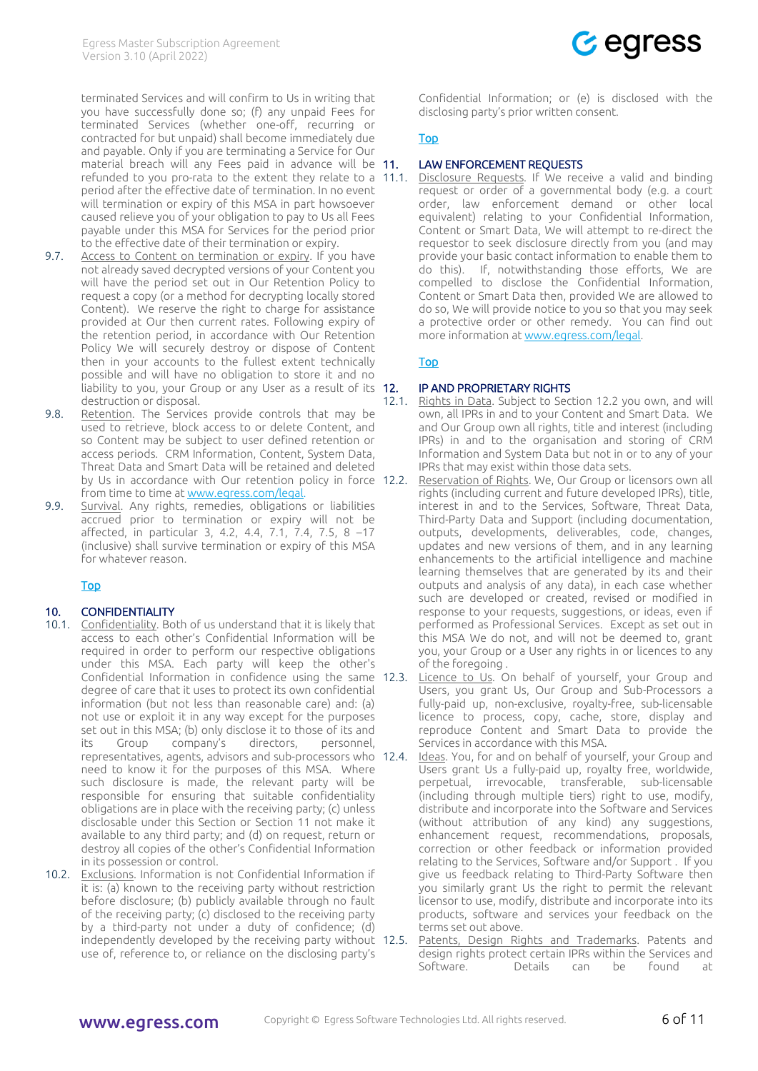

terminated Services and will confirm to Us in writing that you have successfully done so; (f) any unpaid Fees for terminated Services (whether one-off, recurring or contracted for but unpaid) shall become immediately due and payable. Only if you are terminating a Service for Our material breach will any Fees paid in advance will be 11. refunded to you pro-rata to the extent they relate to a 11.1. period after the effective date of termination. In no event will termination or expiry of this MSA in part howsoever caused relieve you of your obligation to pay to Us all Fees payable under this MSA for Services for the period prior to the effective date of their termination or expiry.

- 9.7. Access to Content on termination or expiry. If you have not already saved decrypted versions of your Content you will have the period set out in Our Retention Policy to request a copy (or a method for decrypting locally stored Content). We reserve the right to charge for assistance provided at Our then current rates. Following expiry of the retention period, in accordance with Our Retention Policy We will securely destroy or dispose of Content then in your accounts to the fullest extent technically possible and will have no obligation to store it and no liability to you, your Group or any User as a result of its 12. destruction or disposal.
- <span id="page-5-3"></span>9.8. Retention. The Services provide controls that may be used to retrieve, block access to or delete Content, and so Content may be subject to user defined retention or access periods. CRM Information, Content, System Data, Threat Data and Smart Data will be retained and deleted by Us in accordance with Our retention policy in force 12.2. from time to time a[t www.egress.com/legal.](https://www.egress.com/legal)
- 9.9. Survival. Any rights, remedies, obligations or liabilities accrued prior to termination or expiry will not be affected, in particular [3,](#page-0-1) [4.2,](#page-2-2) [4.4,](#page-2-3) [7.1,](#page-3-4) [7.4,](#page-3-3) [7.5,](#page-3-5) [8](#page-4-0) –[17](#page-7-2) (inclusive) shall survive termination or expiry of this MSA for whatever reason.

#### [Top](#page-0-4)

## <span id="page-5-0"></span>10. CONFIDENTIALITY

- 10.1. Confidentiality. Both of us understand that it is likely that access to each other's Confidential Information will be required in order to perform our respective obligations under this MSA. Each party will keep the other's Confidential Information in confidence using the same 12.3. degree of care that it uses to protect its own confidential information (but not less than reasonable care) and: (a) not use or exploit it in any way except for the purposes set out in this MSA; (b) only disclose it to those of its and its Group company's directors, personnel, representatives, agents, advisors and sub-processors who 12.4. need to know it for the purposes of this MSA. Where such disclosure is made, the relevant party will be responsible for ensuring that suitable confidentiality obligations are in place with the receiving party; (c) unless disclosable under this Section or Section [11](#page-5-1) not make it available to any third party; and (d) on request, return or destroy all copies of the other's Confidential Information in its possession or control.
- 10.2. Exclusions. Information is not Confidential Information if it is: (a) known to the receiving party without restriction before disclosure; (b) publicly available through no fault of the receiving party; (c) disclosed to the receiving party by a third-party not under a duty of confidence; (d) independently developed by the receiving party without 12.5. use of, reference to, or reliance on the disclosing party's

Confidential Information; or (e) is disclosed with the disclosing party's prior written consent.

## [Top](#page-0-4)

## <span id="page-5-1"></span>LAW ENFORCEMENT REOUESTS

Disclosure Requests. If We receive a valid and binding request or order of a governmental body (e.g. a court order, law enforcement demand or other local equivalent) relating to your Confidential Information, Content or Smart Data, We will attempt to re-direct the requestor to seek disclosure directly from you (and may provide your basic contact information to enable them to do this). If, notwithstanding those efforts, We are compelled to disclose the Confidential Information, Content or Smart Data then, provided We are allowed to do so, We will provide notice to you so that you may seek a protective order or other remedy. You can find out more information a[t www.egress.com/legal.](http://www.egress.com/legal)

#### [Top](#page-0-4)

## 12. IP AND PROPRIETARY RIGHTS

- <span id="page-5-4"></span><span id="page-5-2"></span>12.1. Rights in Data. Subject to Section [12.2](#page-5-4) you own, and will own, all IPRs in and to your Content and Smart Data. We and Our Group own all rights, title and interest (including IPRs) in and to the organisation and storing of CRM Information and System Data but not in or to any of your IPRs that may exist within those data sets.
	- Reservation of Rights. We, Our Group or licensors own all rights (including current and future developed IPRs), title, interest in and to the Services, Software, Threat Data, Third-Party Data and Support (including documentation, outputs, developments, deliverables, code, changes, updates and new versions of them, and in any learning enhancements to the artificial intelligence and machine learning themselves that are generated by its and their outputs and analysis of any data), in each case whether such are developed or created, revised or modified in response to your requests, suggestions, or ideas, even if performed as Professional Services. Except as set out in this MSA We do not, and will not be deemed to, grant you, your Group or a User any rights in or licences to any of the foregoing .
- Licence to Us. On behalf of yourself, your Group and Users, you grant Us, Our Group and Sub-Processors a fully-paid up, non-exclusive, royalty-free, sub-licensable licence to process, copy, cache, store, display and reproduce Content and Smart Data to provide the Services in accordance with this MSA.
- Ideas. You, for and on behalf of yourself, your Group and Users grant Us a fully-paid up, royalty free, worldwide, perpetual, irrevocable, transferable, sub-licensable (including through multiple tiers) right to use, modify, distribute and incorporate into the Software and Services (without attribution of any kind) any suggestions, enhancement request, recommendations, proposals, correction or other feedback or information provided relating to the Services, Software and/or Support . If you give us feedback relating to Third-Party Software then you similarly grant Us the right to permit the relevant licensor to use, modify, distribute and incorporate into its products, software and services your feedback on the terms set out above.
- Patents, Design Rights and Trademarks. Patents and design rights protect certain IPRs within the Services and Software. Details can be found at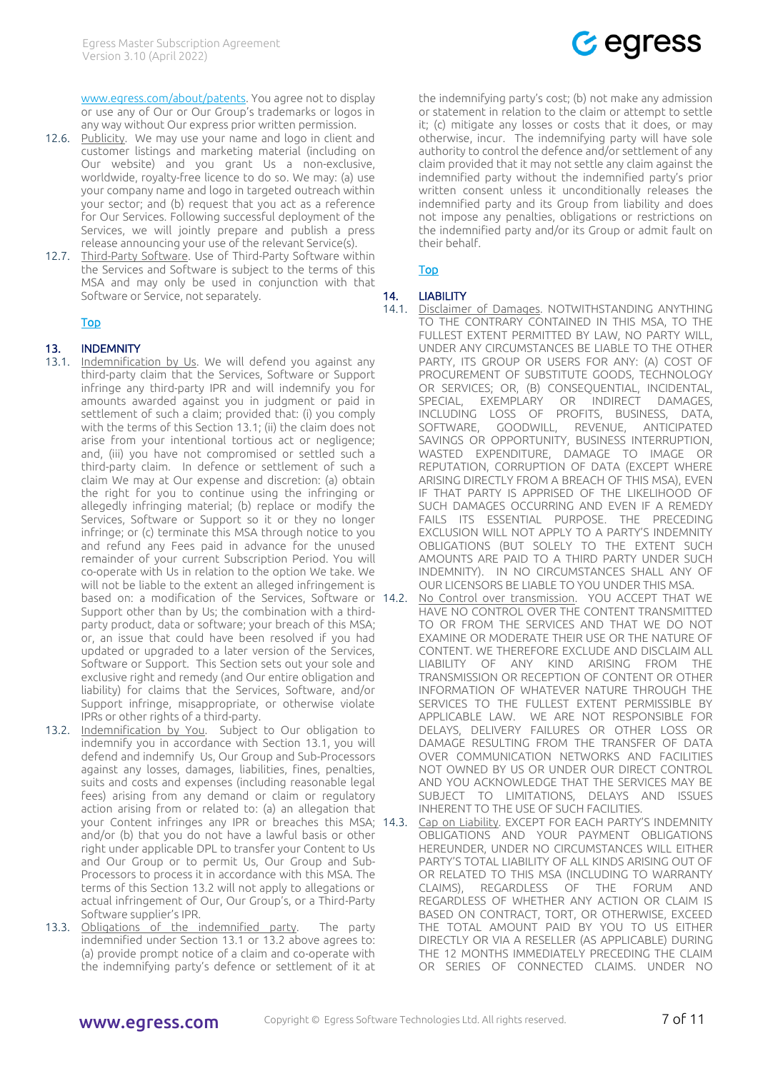[www.egress.com/about/patents.](https://www.egress.com/about/patents) You agree not to display or use any of Our or Our Group's trademarks or logos in any way without Our express prior written permission.

- 12.6. Publicity. We may use your name and logo in client and customer listings and marketing material (including on Our website) and you grant Us a non-exclusive, worldwide, royalty-free licence to do so. We may: (a) use your company name and logo in targeted outreach within your sector; and (b) request that you act as a reference for Our Services. Following successful deployment of the Services, we will jointly prepare and publish a press release announcing your use of the relevant Service(s).
- 12.7. Third-Party Software. Use of Third-Party Software within the Services and Software is subject to the terms of this MSA and may only be used in conjunction with that Software or Service, not separately.

## [Top](#page-0-4)

## <span id="page-6-0"></span>13. INDEMNITY

- <span id="page-6-2"></span>13.1. Indemnification by Us. We will defend you against any third-party claim that the Services, Software or Support infringe any third-party IPR and will indemnify you for amounts awarded against you in judgment or paid in settlement of such a claim; provided that: (i) you comply with the terms of this Sectio[n 13.1;](#page-6-2) (ii) the claim does not arise from your intentional tortious act or negligence; and, (iii) you have not compromised or settled such a third-party claim. In defence or settlement of such a claim We may at Our expense and discretion: (a) obtain the right for you to continue using the infringing or allegedly infringing material; (b) replace or modify the Services, Software or Support so it or they no longer infringe; or (c) terminate this MSA through notice to you and refund any Fees paid in advance for the unused remainder of your current Subscription Period. You will co-operate with Us in relation to the option We take. We will not be liable to the extent an alleged infringement is based on: a modification of the Services, Software or 14.2. Support other than by Us; the combination with a thirdparty product, data or software; your breach of this MSA; or, an issue that could have been resolved if you had updated or upgraded to a later version of the Services, Software or Support. This Section sets out your sole and exclusive right and remedy (and Our entire obligation and liability) for claims that the Services, Software, and/or Support infringe, misappropriate, or otherwise violate IPRs or other rights of a third-party.
- <span id="page-6-3"></span>13.2. Indemnification by You. Subject to Our obligation to indemnify you in accordance with Section [13.1,](#page-6-2) you will defend and indemnify Us, Our Group and Sub-Processors against any losses, damages, liabilities, fines, penalties, suits and costs and expenses (including reasonable legal fees) arising from any demand or claim or regulatory action arising from or related to: (a) an allegation that your Content infringes any IPR or breaches this MSA; 14.3. and/or (b) that you do not have a lawful basis or other right under applicable DPL to transfer your Content to Us and Our Group or to permit Us, Our Group and Sub-Processors to process it in accordance with this MSA. The terms of this Section [13.2](#page-6-3) will not apply to allegations or actual infringement of Our, Our Group's, or a Third-Party Software supplier's IPR.
- 13.3. Obligations of the indemnified party. The party indemnified under Section [13.1](#page-6-2) or [13.2](#page-6-3) above agrees to: (a) provide prompt notice of a claim and co-operate with the indemnifying party's defence or settlement of it at



the indemnifying party's cost; (b) not make any admission or statement in relation to the claim or attempt to settle it; (c) mitigate any losses or costs that it does, or may otherwise, incur. The indemnifying party will have sole authority to control the defence and/or settlement of any claim provided that it may not settle any claim against the indemnified party without the indemnified party's prior written consent unless it unconditionally releases the indemnified party and its Group from liability and does not impose any penalties, obligations or restrictions on the indemnified party and/or its Group or admit fault on their behalf.

# [Top](#page-0-4)

## <span id="page-6-1"></span>14. LIABILITY

- 14.1. Disclaimer of Damages. NOTWITHSTANDING ANYTHING TO THE CONTRARY CONTAINED IN THIS MSA, TO THE FULLEST EXTENT PERMITTED BY LAW, NO PARTY WILL, UNDER ANY CIRCUMSTANCES BE LIABLE TO THE OTHER PARTY, ITS GROUP OR USERS FOR ANY: (A) COST OF PROCUREMENT OF SUBSTITUTE GOODS, TECHNOLOGY OR SERVICES; OR, (B) CONSEQUENTIAL, INCIDENTAL,<br>SPECIAL, EXEMPLARY OR INDIRECT DAMAGES, OR INDIRECT DAMAGES. INCLUDING LOSS OF PROFITS, BUSINESS, DATA, SOFTWARE, GOODWILL, REVENUE, ANTICIPATED SAVINGS OR OPPORTUNITY, BUSINESS INTERRUPTION, WASTED EXPENDITURE, DAMAGE TO IMAGE OR REPUTATION, CORRUPTION OF DATA (EXCEPT WHERE ARISING DIRECTLY FROM A BREACH OF THIS MSA), EVEN IF THAT PARTY IS APPRISED OF THE LIKELIHOOD OF SUCH DAMAGES OCCURRING AND EVEN IF A REMEDY FAILS ITS ESSENTIAL PURPOSE. THE PRECEDING EXCLUSION WILL NOT APPLY TO A PARTY'S INDEMNITY OBLIGATIONS (BUT SOLELY TO THE EXTENT SUCH AMOUNTS ARE PAID TO A THIRD PARTY UNDER SUCH INDEMNITY). IN NO CIRCUMSTANCES SHALL ANY OF OUR LICENSORS BE LIABLE TO YOU UNDER THIS MSA.
	- No Control over transmission. YOU ACCEPT THAT WE HAVE NO CONTROL OVER THE CONTENT TRANSMITTED TO OR FROM THE SERVICES AND THAT WE DO NOT EXAMINE OR MODERATE THEIR USE OR THE NATURE OF CONTENT. WE THEREFORE EXCLUDE AND DISCLAIM ALL LIABILITY OF ANY KIND ARISING FROM THE TRANSMISSION OR RECEPTION OF CONTENT OR OTHER INFORMATION OF WHATEVER NATURE THROUGH THE SERVICES TO THE FULLEST EXTENT PERMISSIBLE BY APPLICABLE LAW. WE ARE NOT RESPONSIBLE FOR DELAYS, DELIVERY FAILURES OR OTHER LOSS OR DAMAGE RESULTING FROM THE TRANSFER OF DATA OVER COMMUNICATION NETWORKS AND FACILITIES NOT OWNED BY US OR UNDER OUR DIRECT CONTROL AND YOU ACKNOWLEDGE THAT THE SERVICES MAY BE SUBJECT TO LIMITATIONS, DELAYS AND ISSUES INHERENT TO THE USE OF SUCH FACILITIES.
	- Cap on Liability. EXCEPT FOR EACH PARTY'S INDEMNITY OBLIGATIONS AND YOUR PAYMENT OBLIGATIONS HEREUNDER, UNDER NO CIRCUMSTANCES WILL EITHER PARTY'S TOTAL LIABILITY OF ALL KINDS ARISING OUT OF OR RELATED TO THIS MSA (INCLUDING TO WARRANTY CLAIMS), REGARDLESS OF THE FORUM AND REGARDLESS OF WHETHER ANY ACTION OR CLAIM IS BASED ON CONTRACT, TORT, OR OTHERWISE, EXCEED THE TOTAL AMOUNT PAID BY YOU TO US EITHER DIRECTLY OR VIA A RESELLER (AS APPLICABLE) DURING THE 12 MONTHS IMMEDIATELY PRECEDING THE CLAIM OR SERIES OF CONNECTED CLAIMS. UNDER NO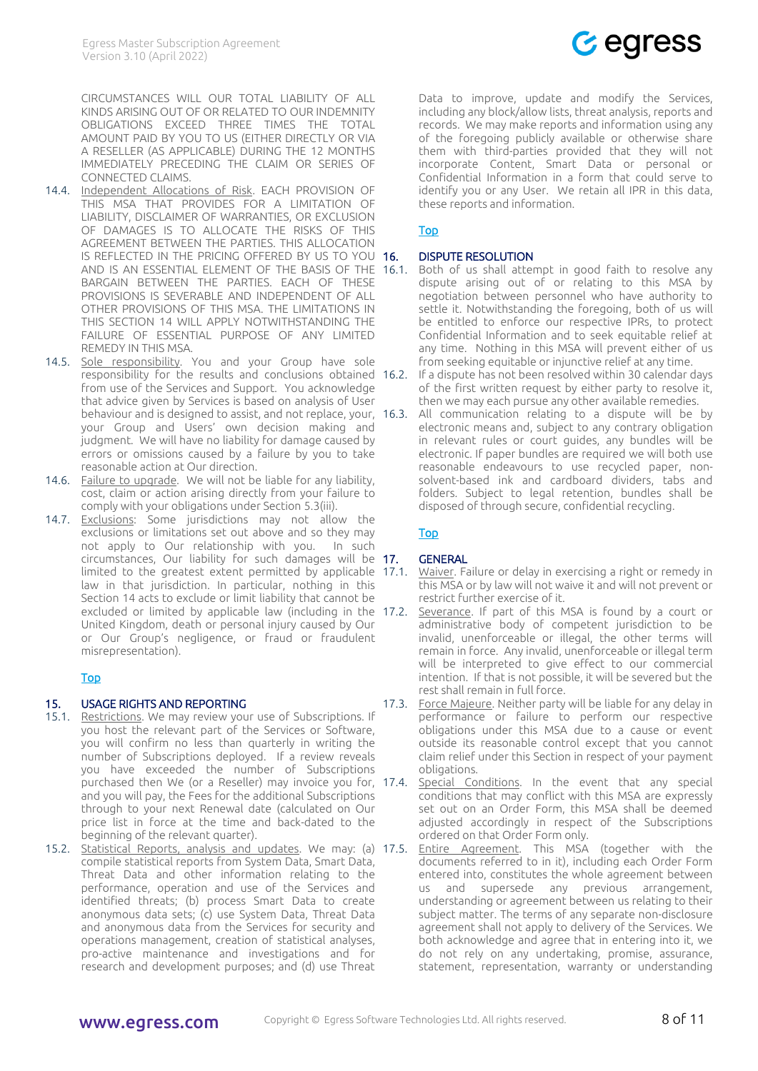CIRCUMSTANCES WILL OUR TOTAL LIABILITY OF ALL KINDS ARISING OUT OF OR RELATED TO OUR INDEMNITY OBLIGATIONS EXCEED THREE TIMES THE TOTAL AMOUNT PAID BY YOU TO US (EITHER DIRECTLY OR VIA A RESELLER (AS APPLICABLE) DURING THE 12 MONTHS IMMEDIATELY PRECEDING THE CLAIM OR SERIES OF CONNECTED CLAIMS.

- 14.4. Independent Allocations of Risk. EACH PROVISION OF THIS MSA THAT PROVIDES FOR A LIMITATION OF LIABILITY, DISCLAIMER OF WARRANTIES, OR EXCLUSION OF DAMAGES IS TO ALLOCATE THE RISKS OF THIS AGREEMENT BETWEEN THE PARTIES. THIS ALLOCATION IS REFLECTED IN THE PRICING OFFERED BY US TO YOU 16. AND IS AN ESSENTIAL ELEMENT OF THE BASIS OF THE 16.1. BARGAIN BETWEEN THE PARTIES. EACH OF THESE PROVISIONS IS SEVERABLE AND INDEPENDENT OF ALL OTHER PROVISIONS OF THIS MSA. THE LIMITATIONS IN THIS SECTION 14 WILL APPLY NOTWITHSTANDING THE FAILURE OF ESSENTIAL PURPOSE OF ANY LIMITED REMEDY IN THIS MSA.
- 14.5. Sole responsibility. You and your Group have sole responsibility for the results and conclusions obtained 16.2. from use of the Services and Support. You acknowledge that advice given by Services is based on analysis of User behaviour and is designed to assist, and not replace, your, 16.3. your Group and Users' own decision making and judgment. We will have no liability for damage caused by errors or omissions caused by a failure by you to take reasonable action at Our direction.
- 14.6. Failure to upgrade. We will not be liable for any liability, cost, claim or action arising directly from your failure to comply with your obligations under Sectio[n 5.3\(](#page-2-4)iii).
- 14.7. Exclusions: Some jurisdictions may not allow the exclusions or limitations set out above and so they may not apply to Our relationship with you. In such circumstances, Our liability for such damages will be 17. limited to the greatest extent permitted by applicable 17.1. law in that jurisdiction. In particular, nothing in this Section [14](#page-6-1) acts to exclude or limit liability that cannot be excluded or limited by applicable law (including in the 17.2. United Kingdom, death or personal injury caused by Our or Our Group's negligence, or fraud or fraudulent misrepresentation).

## [Top](#page-0-4)

# <span id="page-7-0"></span>15. USAGE RIGHTS AND REPORTING

- 15.1. Restrictions. We may review your use of Subscriptions. If you host the relevant part of the Services or Software, you will confirm no less than quarterly in writing the number of Subscriptions deployed. If a review reveals you have exceeded the number of Subscriptions purchased then We (or a Reseller) may invoice you for, 17.4. and you will pay, the Fees for the additional Subscriptions through to your next Renewal date (calculated on Our price list in force at the time and back-dated to the beginning of the relevant quarter).
- <span id="page-7-3"></span>15.2. Statistical Reports, analysis and updates. We may: (a) 17.5. compile statistical reports from System Data, Smart Data, Threat Data and other information relating to the performance, operation and use of the Services and identified threats; (b) process Smart Data to create anonymous data sets; (c) use System Data, Threat Data and anonymous data from the Services for security and operations management, creation of statistical analyses, pro-active maintenance and investigations and for research and development purposes; and (d) use Threat



Data to improve, update and modify the Services, including any block/allow lists, threat analysis, reports and records. We may make reports and information using any of the foregoing publicly available or otherwise share them with third-parties provided that they will not incorporate Content, Smart Data or personal or Confidential Information in a form that could serve to identify you or any User. We retain all IPR in this data, these reports and information.

## [Top](#page-0-4)

## DISPUTE RESOLUTION

- <span id="page-7-1"></span>Both of us shall attempt in good faith to resolve any dispute arising out of or relating to this MSA by negotiation between personnel who have authority to settle it. Notwithstanding the foregoing, both of us will be entitled to enforce our respective IPRs, to protect Confidential Information and to seek equitable relief at any time. Nothing in this MSA will prevent either of us from seeking equitable or injunctive relief at any time.
- If a dispute has not been resolved within 30 calendar days of the first written request by either party to resolve it, then we may each pursue any other available remedies.
- All communication relating to a dispute will be by electronic means and, subject to any contrary obligation in relevant rules or court guides, any bundles will be electronic. If paper bundles are required we will both use reasonable endeavours to use recycled paper, nonsolvent-based ink and cardboard dividers, tabs and folders. Subject to legal retention, bundles shall be disposed of through secure, confidential recycling.

# [Top](#page-0-4)

# **GENERAL**

- <span id="page-7-2"></span>Waiver. Failure or delay in exercising a right or remedy in this MSA or by law will not waive it and will not prevent or restrict further exercise of it.
- Severance. If part of this MSA is found by a court or administrative body of competent jurisdiction to be invalid, unenforceable or illegal, the other terms will remain in force. Any invalid, unenforceable or illegal term will be interpreted to give effect to our commercial intention. If that is not possible, it will be severed but the rest shall remain in full force.
- 17.3. Force Majeure. Neither party will be liable for any delay in performance or failure to perform our respective obligations under this MSA due to a cause or event outside its reasonable control except that you cannot claim relief under this Section in respect of your payment obligations.
- Special Conditions. In the event that any special conditions that may conflict with this MSA are expressly set out on an Order Form, this MSA shall be deemed adjusted accordingly in respect of the Subscriptions ordered on that Order Form only.
- Entire Agreement. This MSA (together with the documents referred to in it), including each Order Form entered into, constitutes the whole agreement between us and supersede any previous arrangement, understanding or agreement between us relating to their subject matter. The terms of any separate non-disclosure agreement shall not apply to delivery of the Services. We both acknowledge and agree that in entering into it, we do not rely on any undertaking, promise, assurance, statement, representation, warranty or understanding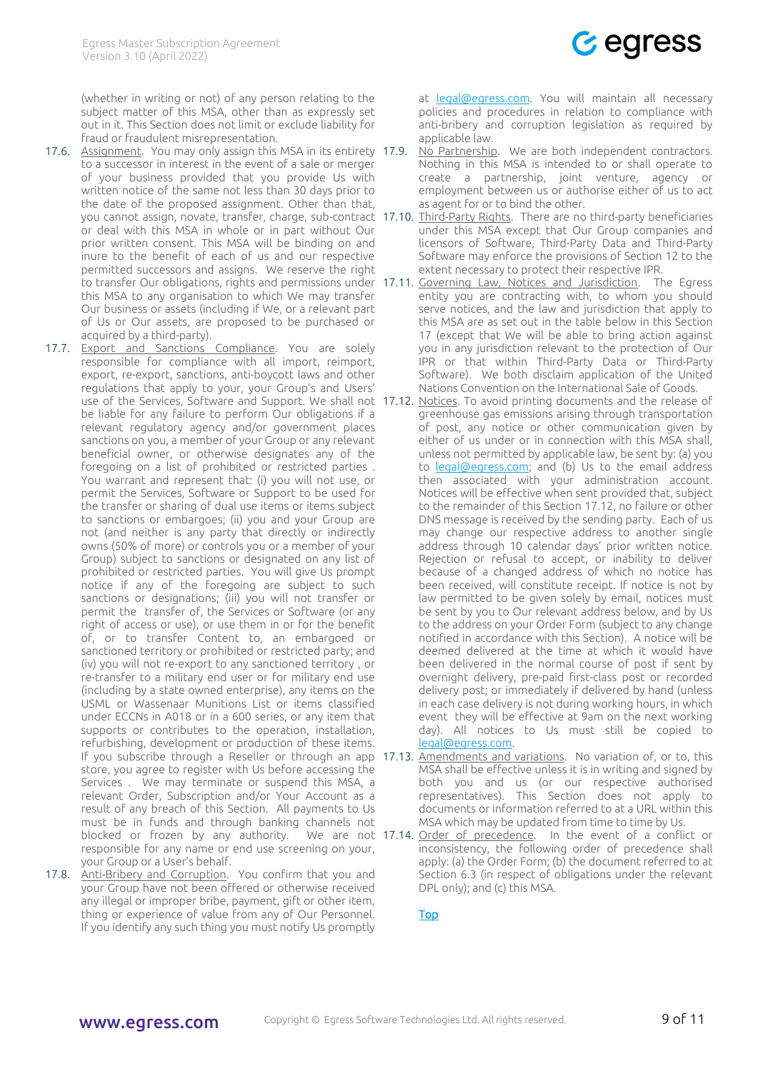(whether in writing or not) of any person relating to the subject matter of this MSA, other than as expressly set out in it. This Section does not limit or exclude liability for fraud or fraudulent misrepresentation.

- 17.6. Assignment. You may only assign this MSA in its entirety 17.9. to a successor in interest in the event of a sale or merger of your business provided that you provide Us with written notice of the same not less than 30 days prior to the date of the proposed assignment. Other than that, or deal with this MSA in whole or in part without Our prior written consent. This MSA will be binding on and inure to the benefit of each of us and our respective permitted successors and assigns. We reserve the right this MSA to any organisation to which We may transfer Our business or assets (including if We, or a relevant part of Us or Our assets, are proposed to be purchased or acquired by a third-party).
- 17.7. Export and Sanctions Compliance. You are solely responsible for compliance with all import, reimport, export, re-export, sanctions, anti-boycott laws and other regulations that apply to your, your Group's and Users' be liable for any failure to perform Our obligations if a relevant regulatory agency and/or government places sanctions on you, a member of your Group or any relevant beneficial owner, or otherwise designates any of the foregoing on a list of prohibited or restricted parties . You warrant and represent that: (i) you will not use, or permit the Services, Software or Support to be used for the transfer or sharing of dual use items or items subject to sanctions or embargoes; (ii) you and your Group are not (and neither is any party that directly or indirectly owns (50% of more) or controls you or a member of your Group) subject to sanctions or designated on any list of prohibited or restricted parties. You will give Us prompt notice if any of the foregoing are subject to such sanctions or designations; (iii) you will not transfer or permit the transfer of, the Services or Software (or any right of access or use), or use them in or for the benefit of, or to transfer Content to, an embargoed or sanctioned territory or prohibited or restricted party; and (iv) you will not re-export to any sanctioned territory , or re-transfer to a military end user or for military end use (including by a state owned enterprise), any items on the USML or Wassenaar Munitions List or items classified under ECCNs in A018 or in a 600 series, or any item that supports or contributes to the operation, installation, refurbishing, development or production of these items. store, you agree to register with Us before accessing the Services . We may terminate or suspend this MSA, a relevant Order, Subscription and/or Your Account as a result of any breach of this Section. All payments to Us must be in funds and through banking channels not blocked or frozen by any authority. responsible for any name or end use screening on your, your Group or a User's behalf.
- 17.8. Anti-Bribery and Corruption. You confirm that you and your Group have not been offered or otherwise received any illegal or improper bribe, payment, gift or other item, thing or experience of value from any of Our Personnel. If you identify any such thing you must notify Us promptly

at [legal@egress.com.](mailto:legal@egress.com) You will maintain all necessary policies and procedures in relation to compliance with anti-bribery and corruption legislation as required by applicable law.

- <span id="page-8-1"></span><span id="page-8-0"></span>No Partnership. We are both independent contractors. Nothing in this MSA is intended to or shall operate to create a partnership, joint venture, agency or employment between us or authorise either of us to act as agent for or to bind the other.
- you cannot assign, novate, transfer, charge, sub-contract 17.10. Third-Party Rights. There are no third-party beneficiaries under this MSA except that Our Group companies and licensors of Software, Third-Party Data and Third-Party Software may enforce the provisions of Sectio[n 12](#page-5-2) to the extent necessary to protect their respective IPR.
- to transfer Our obligations, rights and permissions under 17.11. Coverning Law, Notices and Jurisdiction. The Egress entity you are contracting with, to whom you should serve notices, and the law and jurisdiction that apply to this MSA are as set out in the table below in this Section [17](#page-7-2) (except that We will be able to bring action against you in any jurisdiction relevant to the protection of Our IPR or that within Third-Party Data or Third-Party Software). We both disclaim application of the United Nations Convention on the International Sale of Goods.
- use of the Services, Software and Support. We shall not 17.12. Notices. To avoid printing documents and the release of greenhouse gas emissions arising through transportation of post, any notice or other communication given by either of us under or in connection with this MSA shall, unless not permitted by applicable law, be sent by: (a) you to [legal@egress.com;](mailto:legal@egress.com) and (b) Us to the email address then associated with your administration account. Notices will be effective when sent provided that, subject to the remainder of this Section [17.12,](#page-8-1) no failure or other DNS message is received by the sending party. Each of us may change our respective address to another single address through 10 calendar days' prior written notice. Rejection or refusal to accept, or inability to deliver because of a changed address of which no notice has been received, will constitute receipt. If notice is not by law permitted to be given solely by email, notices must be sent by you to Our relevant address below, and by Us to the address on your Order Form (subject to any change notified in accordance with this Section). A notice will be deemed delivered at the time at which it would have been delivered in the normal course of post if sent by overnight delivery, pre-paid first-class post or recorded delivery post; or immediately if delivered by hand (unless in each case delivery is not during working hours, in which event they will be effective at 9am on the next working day). All notices to Us must still be copied to [legal@egress.com.](mailto:legal@egress.com)
- If you subscribe through a Reseller or through an app 17.13. Amendments and variations. No variation of, or to, this MSA shall be effective unless it is in writing and signed by both you and us (or our respective authorised representatives). This Section does not apply to documents or information referred to at a URL within this MSA which may be updated from time to time by Us.
	- We are not 17.14. Order of precedence. In the event of a conflict or inconsistency, the following order of precedence shall apply: (a) the Order Form; (b) the document referred to at Section [6.3](#page-3-6) (in respect of obligations under the relevant DPL only); and (c) this MSA.

[Top](#page-0-4)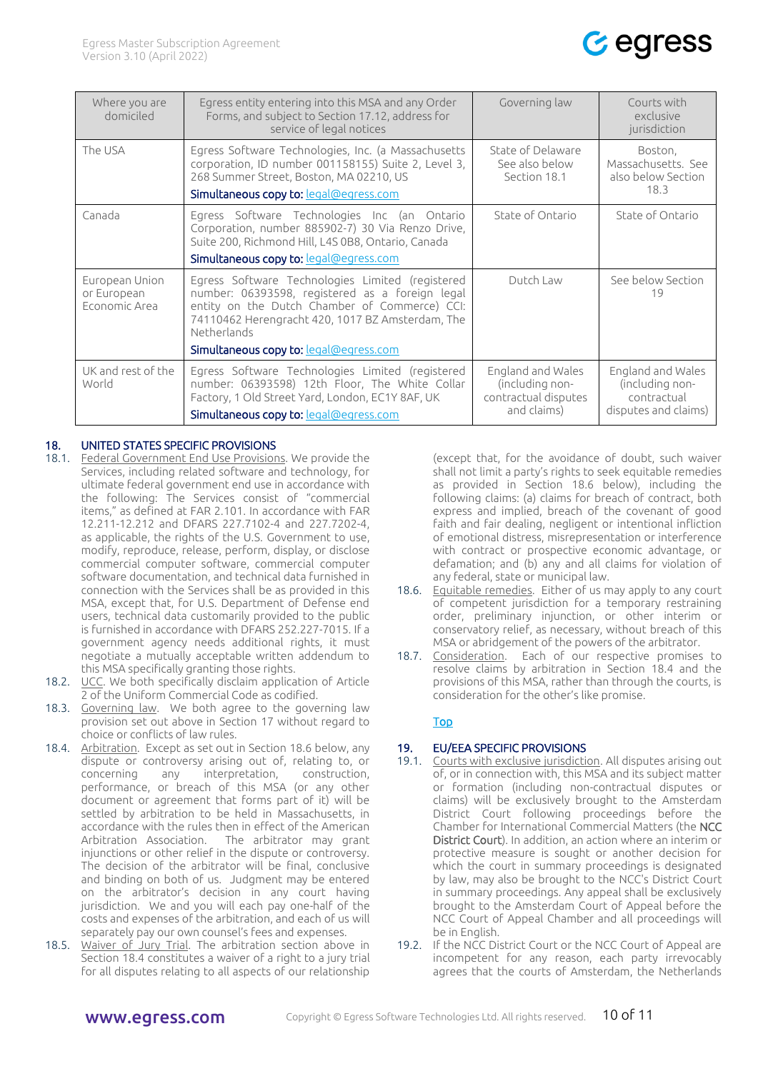

| Where you are<br>domiciled                     | Egress entity entering into this MSA and any Order<br>Forms, and subject to Section 17.12, address for<br>service of legal notices                                                                                                                                       | Governing law                                                               | Courts with<br>exclusive<br>jurisdiction                                    |
|------------------------------------------------|--------------------------------------------------------------------------------------------------------------------------------------------------------------------------------------------------------------------------------------------------------------------------|-----------------------------------------------------------------------------|-----------------------------------------------------------------------------|
| The USA                                        | Egress Software Technologies, Inc. (a Massachusetts<br>corporation, ID number 001158155) Suite 2, Level 3,<br>268 Summer Street, Boston, MA 02210, US<br>Simultaneous copy to: legal@egress.com                                                                          | State of Delaware<br>See also below<br>Section 18.1                         | Boston,<br>Massachusetts. See<br>also below Section<br>18.3                 |
| Canada                                         | Egress Software Technologies Inc (an Ontario<br>Corporation, number 885902-7) 30 Via Renzo Drive,<br>Suite 200, Richmond Hill, L4S 0B8, Ontario, Canada<br>Simultaneous copy to: legal@egress.com                                                                        | State of Ontario                                                            | State of Ontario                                                            |
| European Union<br>or European<br>Economic Area | Egress Software Technologies Limited (registered<br>number: 06393598, registered as a foreign legal<br>entity on the Dutch Chamber of Commerce) CCI:<br>74110462 Herengracht 420, 1017 BZ Amsterdam, The<br><b>Netherlands</b><br>Simultaneous copy to: legal@egress.com | Dutch Law                                                                   | See below Section<br>19                                                     |
| UK and rest of the<br>World                    | Egress Software Technologies Limited (registered<br>number: 06393598) 12th Floor, The White Collar<br>Factory, 1 Old Street Yard, London, EC1Y 8AF, UK<br>Simultaneous copy to: legal@egress.com                                                                         | England and Wales<br>(including non-<br>contractual disputes<br>and claims) | England and Wales<br>(including non-<br>contractual<br>disputes and claims) |

## <span id="page-9-0"></span>18. UNITED STATES SPECIFIC PROVISIONS

- 18.1. Federal Government End Use Provisions. We provide the Services, including related software and technology, for ultimate federal government end use in accordance with the following: The Services consist of "commercial items," as defined at FAR 2.101. In accordance with FAR 12.211-12.212 and DFARS 227.7102-4 and 227.7202-4, as applicable, the rights of the U.S. Government to use, modify, reproduce, release, perform, display, or disclose commercial computer software, commercial computer software documentation, and technical data furnished in connection with the Services shall be as provided in this MSA, except that, for U.S. Department of Defense end users, technical data customarily provided to the public is furnished in accordance with DFARS 252.227-7015. If a government agency needs additional rights, it must negotiate a mutually acceptable written addendum to this MSA specifically granting those rights.
- 18.2. UCC. We both specifically disclaim application of Article 2 of the Uniform Commercial Code as codified.
- 18.3. Governing law. We both agree to the governing law provision set out above in Section [17](#page-7-2) without regard to choice or conflicts of law rules.
- <span id="page-9-5"></span>18.4. Arbitration. Except as set out in Sectio[n 18.6](#page-9-4) below, any dispute or controversy arising out of, relating to, or concerning any interpretation, construction, performance, or breach of this MSA (or any other document or agreement that forms part of it) will be settled by arbitration to be held in Massachusetts, in accordance with the rules then in effect of the American Arbitration Association. The arbitrator may grant injunctions or other relief in the dispute or controversy. The decision of the arbitrator will be final, conclusive and binding on both of us. Judgment may be entered on the arbitrator's decision in any court having jurisdiction. We and you will each pay one-half of the costs and expenses of the arbitration, and each of us will separately pay our own counsel's fees and expenses.
- 18.5. Waiver of Jury Trial. The arbitration section above in Section [18.4](#page-9-5) constitutes a waiver of a right to a jury trial for all disputes relating to all aspects of our relationship

(except that, for the avoidance of doubt, such waiver shall not limit a party's rights to seek equitable remedies as provided in Section [18.6](#page-9-4) below), including the following claims: (a) claims for breach of contract, both express and implied, breach of the covenant of good faith and fair dealing, negligent or intentional infliction of emotional distress, misrepresentation or interference with contract or prospective economic advantage, or defamation; and (b) any and all claims for violation of any federal, state or municipal law.

- <span id="page-9-4"></span>18.6. Equitable remedies. Either of us may apply to any court of competent jurisdiction for a temporary restraining order, preliminary injunction, or other interim or conservatory relief, as necessary, without breach of this MSA or abridgement of the powers of the arbitrator.
- <span id="page-9-1"></span>18.7. Consideration. Each of our respective promises to resolve claims by arbitration in Section [18.4](#page-9-5) and the provisions of this MSA, rather than through the courts, is consideration for the other's like promise.

## [Top](#page-0-4)

# <span id="page-9-3"></span><span id="page-9-2"></span>19. EU/EEA SPECIFIC PROVISIONS

- 19.1. Courts with exclusive jurisdiction. All disputes arising out of, or in connection with, this MSA and its subject matter or formation (including non-contractual disputes or claims) will be exclusively brought to the Amsterdam District Court following proceedings before the Chamber for International Commercial Matters (the NCC District Court). In addition, an action where an interim or protective measure is sought or another decision for which the court in summary proceedings is designated by law, may also be brought to the NCC's District Court in summary proceedings. Any appeal shall be exclusively brought to the Amsterdam Court of Appeal before the NCC Court of Appeal Chamber and all proceedings will be in English.
- 19.2. If the NCC District Court or the NCC Court of Appeal are incompetent for any reason, each party irrevocably agrees that the courts of Amsterdam, the Netherlands